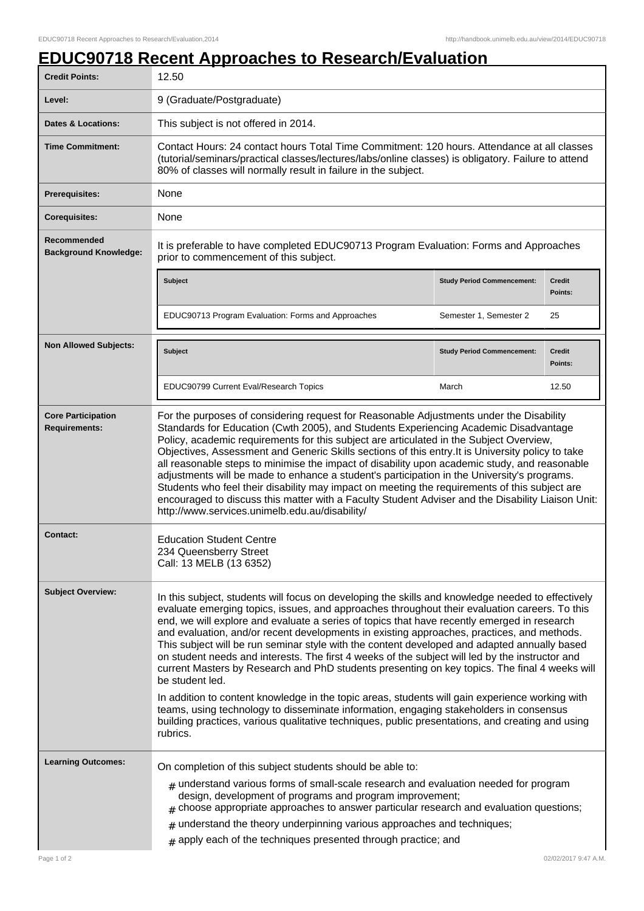## **EDUC90718 Recent Approaches to Research/Evaluation**

| <b>Credit Points:</b>                             | 12.50                                                                                                                                                                                                                                                                                                                                                                                                                                                                                                                                                                                                                                                                                                                                                                                                                                                                                                                                                                                                                               |                                   |                          |
|---------------------------------------------------|-------------------------------------------------------------------------------------------------------------------------------------------------------------------------------------------------------------------------------------------------------------------------------------------------------------------------------------------------------------------------------------------------------------------------------------------------------------------------------------------------------------------------------------------------------------------------------------------------------------------------------------------------------------------------------------------------------------------------------------------------------------------------------------------------------------------------------------------------------------------------------------------------------------------------------------------------------------------------------------------------------------------------------------|-----------------------------------|--------------------------|
| Level:                                            | 9 (Graduate/Postgraduate)                                                                                                                                                                                                                                                                                                                                                                                                                                                                                                                                                                                                                                                                                                                                                                                                                                                                                                                                                                                                           |                                   |                          |
| Dates & Locations:                                | This subject is not offered in 2014.                                                                                                                                                                                                                                                                                                                                                                                                                                                                                                                                                                                                                                                                                                                                                                                                                                                                                                                                                                                                |                                   |                          |
| <b>Time Commitment:</b>                           | Contact Hours: 24 contact hours Total Time Commitment: 120 hours. Attendance at all classes<br>(tutorial/seminars/practical classes/lectures/labs/online classes) is obligatory. Failure to attend<br>80% of classes will normally result in failure in the subject.                                                                                                                                                                                                                                                                                                                                                                                                                                                                                                                                                                                                                                                                                                                                                                |                                   |                          |
| <b>Prerequisites:</b>                             | None                                                                                                                                                                                                                                                                                                                                                                                                                                                                                                                                                                                                                                                                                                                                                                                                                                                                                                                                                                                                                                |                                   |                          |
| <b>Corequisites:</b>                              | None                                                                                                                                                                                                                                                                                                                                                                                                                                                                                                                                                                                                                                                                                                                                                                                                                                                                                                                                                                                                                                |                                   |                          |
| Recommended<br><b>Background Knowledge:</b>       | It is preferable to have completed EDUC90713 Program Evaluation: Forms and Approaches<br>prior to commencement of this subject.                                                                                                                                                                                                                                                                                                                                                                                                                                                                                                                                                                                                                                                                                                                                                                                                                                                                                                     |                                   |                          |
|                                                   | <b>Subject</b>                                                                                                                                                                                                                                                                                                                                                                                                                                                                                                                                                                                                                                                                                                                                                                                                                                                                                                                                                                                                                      | <b>Study Period Commencement:</b> | <b>Credit</b><br>Points: |
|                                                   | EDUC90713 Program Evaluation: Forms and Approaches                                                                                                                                                                                                                                                                                                                                                                                                                                                                                                                                                                                                                                                                                                                                                                                                                                                                                                                                                                                  | Semester 1, Semester 2            | 25                       |
| <b>Non Allowed Subjects:</b>                      | Subject                                                                                                                                                                                                                                                                                                                                                                                                                                                                                                                                                                                                                                                                                                                                                                                                                                                                                                                                                                                                                             | <b>Study Period Commencement:</b> | <b>Credit</b><br>Points: |
|                                                   | EDUC90799 Current Eval/Research Topics                                                                                                                                                                                                                                                                                                                                                                                                                                                                                                                                                                                                                                                                                                                                                                                                                                                                                                                                                                                              | March                             | 12.50                    |
| <b>Core Participation</b><br><b>Requirements:</b> | For the purposes of considering request for Reasonable Adjustments under the Disability<br>Standards for Education (Cwth 2005), and Students Experiencing Academic Disadvantage<br>Policy, academic requirements for this subject are articulated in the Subject Overview,<br>Objectives, Assessment and Generic Skills sections of this entry. It is University policy to take<br>all reasonable steps to minimise the impact of disability upon academic study, and reasonable<br>adjustments will be made to enhance a student's participation in the University's programs.<br>Students who feel their disability may impact on meeting the requirements of this subject are<br>encouraged to discuss this matter with a Faculty Student Adviser and the Disability Liaison Unit:<br>http://www.services.unimelb.edu.au/disability/                                                                                                                                                                                             |                                   |                          |
| <b>Contact:</b>                                   | <b>Education Student Centre</b><br>234 Queensberry Street<br>Call: 13 MELB (13 6352)                                                                                                                                                                                                                                                                                                                                                                                                                                                                                                                                                                                                                                                                                                                                                                                                                                                                                                                                                |                                   |                          |
| <b>Subject Overview:</b>                          | In this subject, students will focus on developing the skills and knowledge needed to effectively<br>evaluate emerging topics, issues, and approaches throughout their evaluation careers. To this<br>end, we will explore and evaluate a series of topics that have recently emerged in research<br>and evaluation, and/or recent developments in existing approaches, practices, and methods.<br>This subject will be run seminar style with the content developed and adapted annually based<br>on student needs and interests. The first 4 weeks of the subject will led by the instructor and<br>current Masters by Research and PhD students presenting on key topics. The final 4 weeks will<br>be student led.<br>In addition to content knowledge in the topic areas, students will gain experience working with<br>teams, using technology to disseminate information, engaging stakeholders in consensus<br>building practices, various qualitative techniques, public presentations, and creating and using<br>rubrics. |                                   |                          |
| <b>Learning Outcomes:</b>                         | On completion of this subject students should be able to:<br>$_{\#}$ understand various forms of small-scale research and evaluation needed for program<br>design, development of programs and program improvement;<br>$#$ choose appropriate approaches to answer particular research and evaluation questions;<br>$#$ understand the theory underpinning various approaches and techniques;<br>$#$ apply each of the techniques presented through practice; and                                                                                                                                                                                                                                                                                                                                                                                                                                                                                                                                                                   |                                   |                          |